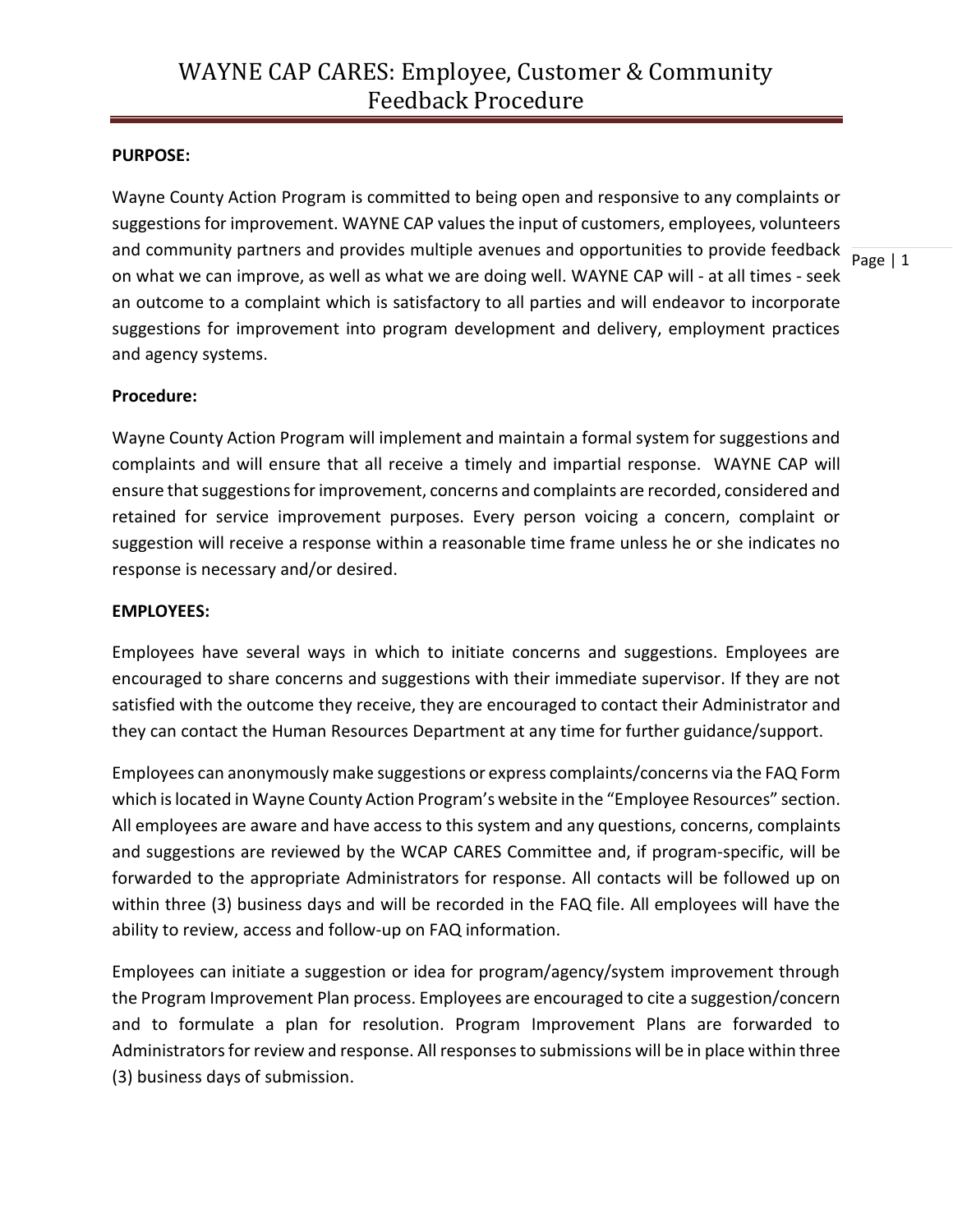## **PURPOSE:**

and community partners and provides multiple avenues and opportunities to provide feedback  $\frac{1}{\text{Page } | 1}$ Wayne County Action Program is committed to being open and responsive to any complaints or suggestions for improvement. WAYNE CAP values the input of customers, employees, volunteers on what we can improve, as well as what we are doing well. WAYNE CAP will - at all times - seek an outcome to a complaint which is satisfactory to all parties and will endeavor to incorporate suggestions for improvement into program development and delivery, employment practices and agency systems.

### **Procedure:**

Wayne County Action Program will implement and maintain a formal system for suggestions and complaints and will ensure that all receive a timely and impartial response. WAYNE CAP will ensure that suggestions for improvement, concerns and complaints are recorded, considered and retained for service improvement purposes. Every person voicing a concern, complaint or suggestion will receive a response within a reasonable time frame unless he or she indicates no response is necessary and/or desired.

#### **EMPLOYEES:**

Employees have several ways in which to initiate concerns and suggestions. Employees are encouraged to share concerns and suggestions with their immediate supervisor. If they are not satisfied with the outcome they receive, they are encouraged to contact their Administrator and they can contact the Human Resources Department at any time for further guidance/support.

Employees can anonymously make suggestions or express complaints/concerns via the FAQ Form which is located in Wayne County Action Program's website in the "Employee Resources" section. All employees are aware and have access to this system and any questions, concerns, complaints and suggestions are reviewed by the WCAP CARES Committee and, if program-specific, will be forwarded to the appropriate Administrators for response. All contacts will be followed up on within three (3) business days and will be recorded in the FAQ file. All employees will have the ability to review, access and follow-up on FAQ information.

Employees can initiate a suggestion or idea for program/agency/system improvement through the Program Improvement Plan process. Employees are encouraged to cite a suggestion/concern and to formulate a plan for resolution. Program Improvement Plans are forwarded to Administrators for review and response. All responses to submissions will be in place within three (3) business days of submission.